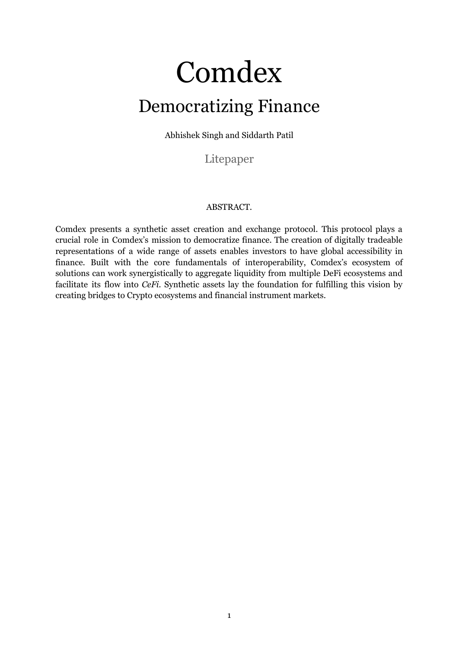# Comdex Democratizing Finance

Abhishek Singh and Siddarth Patil

Litepaper

#### ABSTRACT.

Comdex presents a synthetic asset creation and exchange protocol. This protocol plays a crucial role in Comdex's mission to democratize finance. The creation of digitally tradeable representations of a wide range of assets enables investors to have global accessibility in finance. Built with the core fundamentals of interoperability, Comdex's ecosystem of solutions can work synergistically to aggregate liquidity from multiple DeFi ecosystems and facilitate its flow into *CeFi*. Synthetic assets lay the foundation for fulfilling this vision by creating bridges to Crypto ecosystems and financial instrument markets.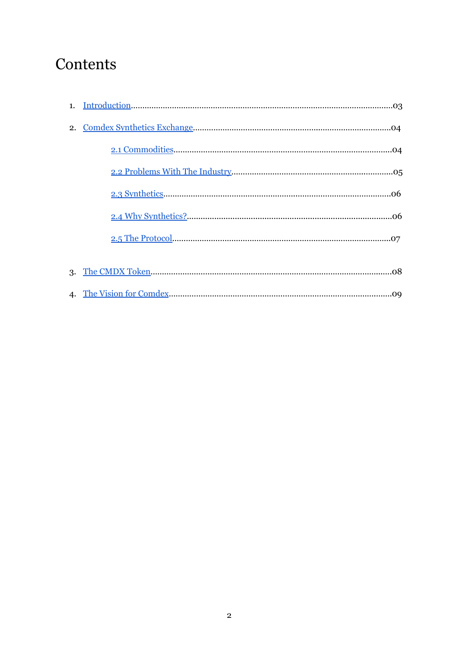### **Contents**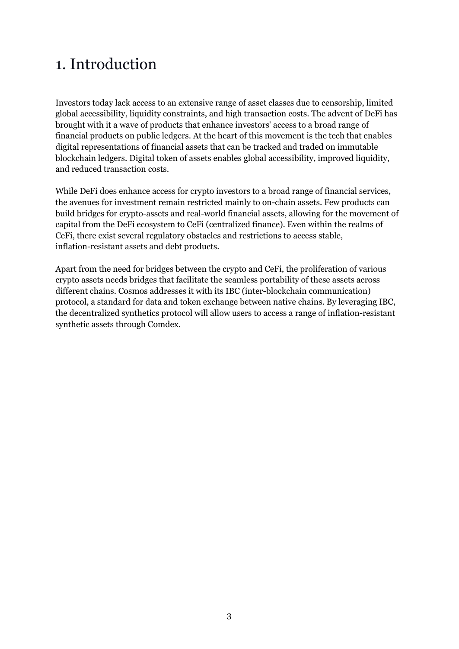### 1. Introduction

Investors today lack access to an extensive range of asset classes due to censorship, limited global accessibility, liquidity constraints, and high transaction costs. The advent of DeFi has brought with it a wave of products that enhance investors' access to a broad range of financial products on public ledgers. At the heart of this movement is the tech that enables digital representations of financial assets that can be tracked and traded on immutable blockchain ledgers. Digital token of assets enables global accessibility, improved liquidity, and reduced transaction costs.

While DeFi does enhance access for crypto investors to a broad range of financial services, the avenues for investment remain restricted mainly to on-chain assets. Few products can build bridges for crypto-assets and real-world financial assets, allowing for the movement of capital from the DeFi ecosystem to CeFi (centralized finance). Even within the realms of CeFi, there exist several regulatory obstacles and restrictions to access stable, inflation-resistant assets and debt products.

<span id="page-2-0"></span>Apart from the need for bridges between the crypto and CeFi, the proliferation of various crypto assets needs bridges that facilitate the seamless portability of these assets across different chains. Cosmos addresses it with its IBC (inter-blockchain communication) protocol, a standard for data and token exchange between native chains. By leveraging IBC, the decentralized synthetics protocol will allow users to access a range of inflation-resistant synthetic assets through Comdex.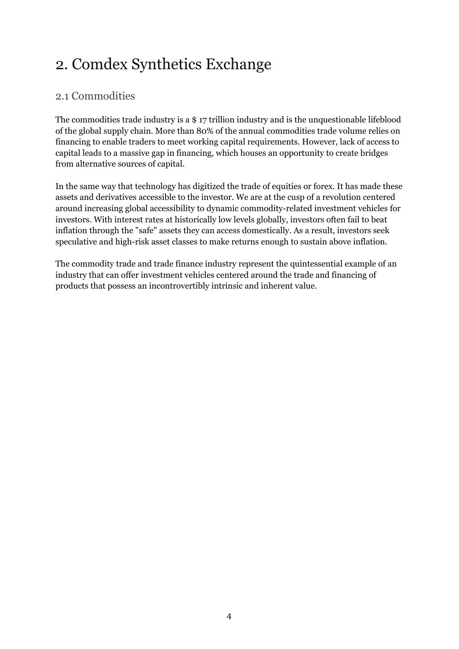### <span id="page-3-0"></span>2. Comdex Synthetics Exchange

### <span id="page-3-1"></span>2.1 Commodities

The commodities trade industry is a \$ 17 trillion industry and is the unquestionable lifeblood of the global supply chain. More than 80% of the annual commodities trade volume relies on financing to enable traders to meet working capital requirements. However, lack of access to capital leads to a massive gap in financing, which houses an opportunity to create bridges from alternative sources of capital.

In the same way that technology has digitized the trade of equities or forex. It has made these assets and derivatives accessible to the investor. We are at the cusp of a revolution centered around increasing global accessibility to dynamic commodity-related investment vehicles for investors. With interest rates at historically low levels globally, investors often fail to beat inflation through the "safe" assets they can access domestically. As a result, investors seek speculative and high-risk asset classes to make returns enough to sustain above inflation.

The commodity trade and trade finance industry represent the quintessential example of an industry that can offer investment vehicles centered around the trade and financing of products that possess an incontrovertibly intrinsic and inherent value.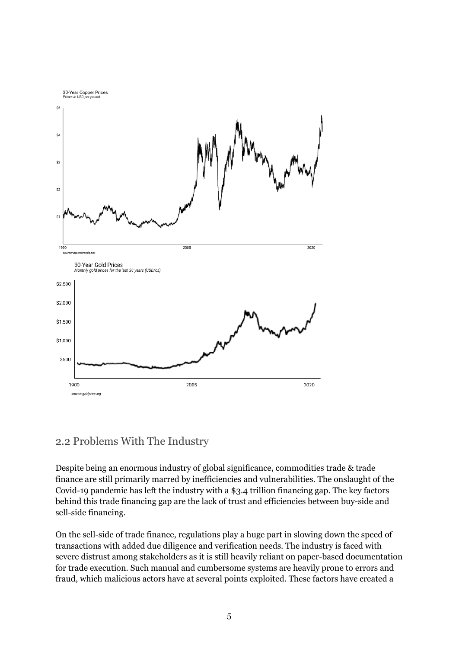

#### 2.2 Problems With The Industry

Despite being an enormous industry of global significance, commodities trade & trade finance are still primarily marred by inefficiencies and vulnerabilities. The onslaught of the Covid-19 pandemic has left the industry with a \$3.4 trillion financing gap. The key factors behind this trade financing gap are the lack of trust and efficiencies between buy-side and sell-side financing.

On the sell-side of trade finance, regulations play a huge part in slowing down the speed of transactions with added due diligence and verification needs. The industry is faced with severe distrust among stakeholders as it is still heavily reliant on paper-based documentation for trade execution. Such manual and cumbersome systems are heavily prone to errors and fraud, which malicious actors have at several points exploited. These factors have created a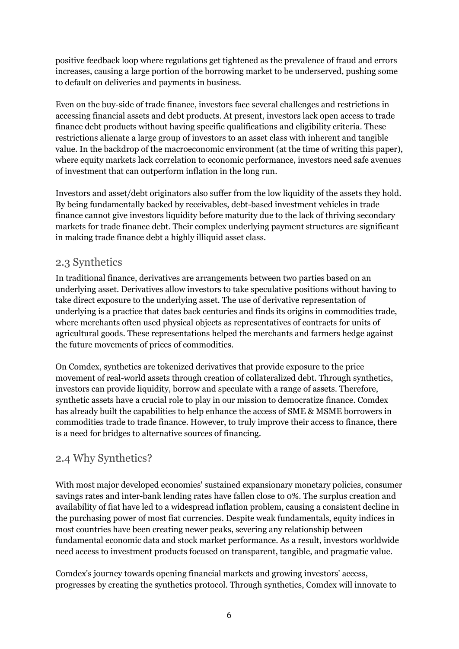positive feedback loop where regulations get tightened as the prevalence of fraud and errors increases, causing a large portion of the borrowing market to be underserved, pushing some to default on deliveries and payments in business.

Even on the buy-side of trade finance, investors face several challenges and restrictions in accessing financial assets and debt products. At present, investors lack open access to trade finance debt products without having specific qualifications and eligibility criteria. These restrictions alienate a large group of investors to an asset class with inherent and tangible value. In the backdrop of the macroeconomic environment (at the time of writing this paper), where equity markets lack correlation to economic performance, investors need safe avenues of investment that can outperform inflation in the long run.

Investors and asset/debt originators also suffer from the low liquidity of the assets they hold. By being fundamentally backed by receivables, debt-based investment vehicles in trade finance cannot give investors liquidity before maturity due to the lack of thriving secondary markets for trade finance debt. Their complex underlying payment structures are significant in making trade finance debt a highly illiquid asset class.

#### <span id="page-5-0"></span>2.3 Synthetics

In traditional finance, derivatives are arrangements between two parties based on an underlying asset. Derivatives allow investors to take speculative positions without having to take direct exposure to the underlying asset. The use of derivative representation of underlying is a practice that dates back centuries and finds its origins in commodities trade, where merchants often used physical objects as representatives of contracts for units of agricultural goods. These representations helped the merchants and farmers hedge against the future movements of prices of commodities.

On Comdex, synthetics are tokenized derivatives that provide exposure to the price movement of real-world assets through creation of collateralized debt. Through synthetics, investors can provide liquidity, borrow and speculate with a range of assets. Therefore, synthetic assets have a crucial role to play in our mission to democratize finance. Comdex has already built the capabilities to help enhance the access of SME & MSME borrowers in commodities trade to trade finance. However, to truly improve their access to finance, there is a need for bridges to alternative sources of financing.

#### <span id="page-5-1"></span>2.4 Why Synthetics?

With most major developed economies' sustained expansionary monetary policies, consumer savings rates and inter-bank lending rates have fallen close to 0%. The surplus creation and availability of fiat have led to a widespread inflation problem, causing a consistent decline in the purchasing power of most fiat currencies. Despite weak fundamentals, equity indices in most countries have been creating newer peaks, severing any relationship between fundamental economic data and stock market performance. As a result, investors worldwide need access to investment products focused on transparent, tangible, and pragmatic value.

Comdex's journey towards opening financial markets and growing investors' access, progresses by creating the synthetics protocol. Through synthetics, Comdex will innovate to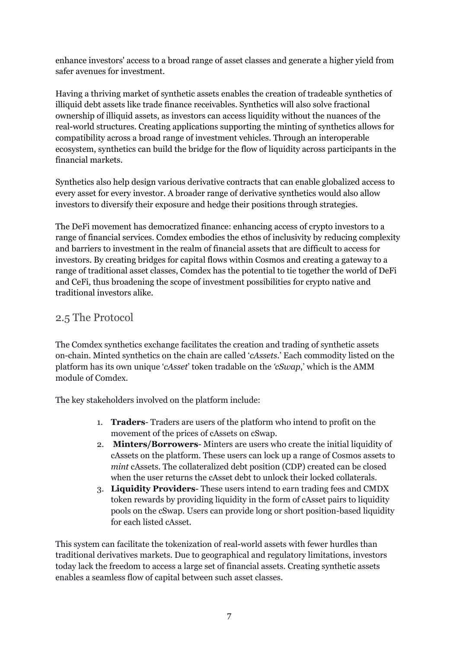enhance investors' access to a broad range of asset classes and generate a higher yield from safer avenues for investment.

Having a thriving market of synthetic assets enables the creation of tradeable synthetics of illiquid debt assets like trade finance receivables. Synthetics will also solve fractional ownership of illiquid assets, as investors can access liquidity without the nuances of the real-world structures. Creating applications supporting the minting of synthetics allows for compatibility across a broad range of investment vehicles. Through an interoperable ecosystem, synthetics can build the bridge for the flow of liquidity across participants in the financial markets.

Synthetics also help design various derivative contracts that can enable globalized access to every asset for every investor. A broader range of derivative synthetics would also allow investors to diversify their exposure and hedge their positions through strategies.

The DeFi movement has democratized finance: enhancing access of crypto investors to a range of financial services. Comdex embodies the ethos of inclusivity by reducing complexity and barriers to investment in the realm of financial assets that are difficult to access for investors. By creating bridges for capital flows within Cosmos and creating a gateway to a range of traditional asset classes, Comdex has the potential to tie together the world of DeFi and CeFi, thus broadening the scope of investment possibilities for crypto native and traditional investors alike.

#### <span id="page-6-0"></span>2.5 The Protocol

The Comdex synthetics exchange facilitates the creation and trading of synthetic assets on-chain. Minted synthetics on the chain are called '*cAssets*.' Each commodity listed on the platform has its own unique '*cAsset*' token tradable on the *'cSwap*,' which is the AMM module of Comdex.

The key stakeholders involved on the platform include:

- 1. **Traders** Traders are users of the platform who intend to profit on the movement of the prices of cAssets on cSwap.
- 2. **Minters/Borrowers** Minters are users who create the initial liquidity of cAssets on the platform. These users can lock up a range of Cosmos assets to *mint* cAssets. The collateralized debt position (CDP) created can be closed when the user returns the cAsset debt to unlock their locked collaterals.
- 3. **Liquidity Providers** These users intend to earn trading fees and CMDX token rewards by providing liquidity in the form of cAsset pairs to liquidity pools on the cSwap. Users can provide long or short position-based liquidity for each listed cAsset.

This system can facilitate the tokenization of real-world assets with fewer hurdles than traditional derivatives markets. Due to geographical and regulatory limitations, investors today lack the freedom to access a large set of financial assets. Creating synthetic assets enables a seamless flow of capital between such asset classes.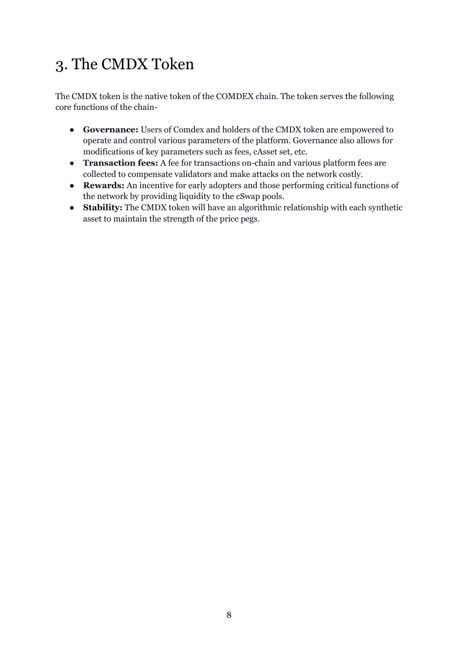## <span id="page-7-0"></span>3. The CMDX Token

The CMDX token is the native token of the COMDEX chain. The token serves the following core functions of the chain-

- **Governance:** Users of Comdex and holders of the CMDX token are empowered to operate and control various parameters of the platform. Governance also allows for modifications of key parameters such as fees, cAsset set, etc.
- **Transaction fees:** A fee for transactions on-chain and various platform fees are collected to compensate validators and make attacks on the network costly.
- **Rewards:** An incentive for early adopters and those performing critical functions of the network by providing liquidity to the cSwap pools.
- **Stability:** The CMDX token will have an algorithmic relationship with each synthetic asset to maintain the strength of the price pegs.